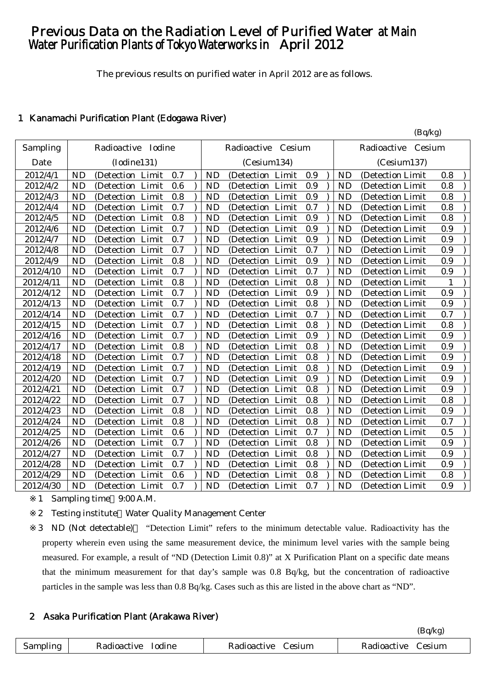# Previous Data on the Radiation Level of Purified Water at Main Water Purification Plants of Tokyo Waterworks in April 2012

The previous results on purified water in April 2012 are as follows.

 $(R_0/k_0)$ 

# 1 Kanamachi Purification Plant (Edogawa River)

|           |                                      |                                          | $($ $\nu$ q' $\kappa$ <sub>b</sub> $\nu$ |
|-----------|--------------------------------------|------------------------------------------|------------------------------------------|
| Sampling  | Radioactive Iodine                   | Radioactive<br>Cesium                    | Radioactive Cesium                       |
| Date      | (Iodine131)                          | (Cesium134)                              | (Cesium137)                              |
| 2012/4/1  | <b>ND</b>                            | <b>ND</b>                                | <b>ND</b>                                |
|           | (Detection Limit                     | (Detection Limit                         | 0.8                                      |
|           | 0.7                                  | 0.9                                      | (Detection Limit                         |
| 2012/4/2  | <b>ND</b>                            | <b>ND</b>                                | <b>ND</b>                                |
|           | 0.6                                  | 0.9                                      | 0.8                                      |
|           | (Detection Limit                     | (Detection Limit                         | (Detection Limit)                        |
| 2012/4/3  | <b>ND</b>                            | <b>ND</b>                                | <b>ND</b>                                |
|           | (Detection Limit                     | 0.9                                      | 0.8                                      |
|           | 0.8                                  | (Detection Limit                         | (Detection Limit                         |
| 2012/4/4  | 0.7<br><b>ND</b><br>(Detection Limit | 0.7<br><b>ND</b><br>Limit<br>(Detection) | <b>ND</b><br>0.8<br>(Detection Limit)    |
| 2012/4/5  | <b>ND</b><br>0.8<br>(Detection Limit | <b>ND</b><br>0.9<br>(Detection<br>Limit  | <b>ND</b><br>0.8<br>(Detection Limit     |
| 2012/4/6  | 0.7                                  | 0.9                                      | <b>ND</b>                                |
|           | <b>ND</b>                            | <b>ND</b>                                | 0.9                                      |
|           | (Detection Limit                     | (Detection Limit                         | (Detection Limit                         |
| 2012/4/7  | 0.7                                  | <b>ND</b>                                | 0.9                                      |
|           | <b>ND</b>                            | 0.9                                      | <b>ND</b>                                |
|           | (Detection Limit                     | (Detection Limit                         | (Detection Limit                         |
| 2012/4/8  | 0.7<br><b>ND</b><br>(Detection Limit | 0.7<br><b>ND</b><br>Limit<br>(Detection  | <b>ND</b><br>0.9<br>(Detection Limit     |
| 2012/4/9  | <b>ND</b>                            | <b>ND</b>                                | <b>ND</b>                                |
|           | 0.8                                  | 0.9                                      | 0.9                                      |
|           | (Detection Limit                     | (Detection Limit                         | (Detection Limit)                        |
| 2012/4/10 | 0.7                                  | <b>ND</b>                                | <b>ND</b>                                |
|           | <b>ND</b>                            | 0.7                                      | 0.9                                      |
|           | (Detection Limit                     | (Detection Limit                         | (Detection Limit)                        |
| 2012/4/11 | 0.8                                  | 0.8                                      | <b>ND</b>                                |
|           | <b>ND</b>                            | <b>ND</b>                                | $\mathbf{1}$                             |
|           | (Detection Limit                     | (Detection Limit                         | (Detection Limit)                        |
| 2012/4/12 | 0.7<br><b>ND</b><br>(Detection Limit | 0.9<br><b>ND</b><br>Limit<br>(Detection  | 0.9<br><b>ND</b><br>(Detection Limit)    |
| 2012/4/13 | <b>ND</b>                            | 0.8                                      | 0.9                                      |
|           | 0.7                                  | <b>ND</b>                                | <b>ND</b>                                |
|           | (Detection Limit                     | (Detection Limit                         | (Detection Limit                         |
| 2012/4/14 | 0.7                                  | 0.7                                      | 0.7                                      |
|           | <b>ND</b>                            | <b>ND</b>                                | <b>ND</b>                                |
|           | (Detection Limit                     | (Detection Limit                         | (Detection Limit                         |
| 2012/4/15 | 0.7                                  | 0.8                                      | 0.8                                      |
|           | <b>ND</b>                            | <b>ND</b>                                | <b>ND</b>                                |
|           | (Detection Limit                     | (Detection Limit                         | (Detection Limit                         |
| 2012/4/16 | 0.7                                  | 0.9                                      | 0.9                                      |
|           | <b>ND</b>                            | <b>ND</b>                                | <b>ND</b>                                |
|           | (Detection Limit                     | (Detection Limit                         | (Detection Limit                         |
| 2012/4/17 | <b>ND</b>                            | 0.8                                      | <b>ND</b>                                |
|           | 0.8                                  | <b>ND</b>                                | 0.9                                      |
|           | (Detection Limit                     | (Detection Limit                         | (Detection Limit                         |
| 2012/4/18 | 0.7                                  | <b>ND</b>                                | <b>ND</b>                                |
|           | <b>ND</b>                            | 0.8                                      | 0.9                                      |
|           | (Detection Limit                     | (Detection Limit                         | (Detection Limit)                        |
| 2012/4/19 | 0.7                                  | 0.8                                      | <b>ND</b>                                |
|           | <b>ND</b>                            | <b>ND</b>                                | 0.9                                      |
|           | (Detection Limit                     | (Detection Limit                         | (Detection Limit                         |
| 2012/4/20 | 0.7                                  | 0.9                                      | 0.9                                      |
|           | <b>ND</b>                            | <b>ND</b>                                | <b>ND</b>                                |
|           | (Detection Limit                     | (Detection Limit                         | (Detection Limit                         |
| 2012/4/21 | <b>ND</b><br>0.7<br>(Detection Limit | 0.8<br><b>ND</b><br>(Detection<br>Limit  | <b>ND</b><br>0.9<br>(Detection Limit     |
| 2012/4/22 | 0.7                                  | 0.8                                      | 0.8                                      |
|           | <b>ND</b>                            | <b>ND</b>                                | <b>ND</b>                                |
|           | (Detection Limit                     | (Detection Limit                         | (Detection Limit                         |
| 2012/4/23 | 0.8<br><b>ND</b><br>(Detection Limit | 0.8<br><b>ND</b><br>Limit<br>(Detection  | 0.9<br><b>ND</b><br>(Detection Limit     |
| 2012/4/24 | 0.8<br><b>ND</b><br>(Detection Limit | 0.8<br><b>ND</b><br>Limit<br>(Detection  | 0.7<br><b>ND</b><br>(Detection Limit     |
| 2012/4/25 | <b>ND</b><br>0.6<br>(Detection Limit | <b>ND</b><br>0.7<br>Limit<br>(Detection  | <b>ND</b><br>0.5<br>(Detection Limit     |
| 2012/4/26 | 0.7<br><b>ND</b><br>(Detection Limit | <b>ND</b><br>0.8<br>Limit<br>(Detection  | <b>ND</b><br>0.9<br>(Detection Limit     |
| 2012/4/27 | 0.7<br><b>ND</b><br>(Detection Limit | <b>ND</b><br>0.8<br>Limit<br>(Detection) | ND<br>0.9<br>(Detection Limit            |
| 2012/4/28 | 0.7<br><b>ND</b><br>(Detection Limit | 0.8<br><b>ND</b><br>Limit<br>(Detection  | 0.9<br><b>ND</b><br>(Detection Limit     |
| 2012/4/29 | <b>ND</b><br>(Detection Limit<br>0.6 | <b>ND</b><br>0.8<br>Limit<br>(Detection) | <b>ND</b><br>0.8<br>(Detection Limit     |
| 2012/4/30 | 0.7                                  | <b>ND</b>                                | <b>ND</b>                                |
|           | <b>ND</b>                            | 0.7                                      | 0.9                                      |
|           | (Detection Limit                     | (Detection Limit                         | (Detection Limit                         |

1 Sampling time 9:00 A.M.

2 Testing institute Water Quality Management Center

3 ND (Not detectable) "Detection Limit" refers to the minimum detectable value. Radioactivity has the property wherein even using the same measurement device, the minimum level varies with the sample being measured. For example, a result of "ND (Detection Limit 0.8)" at X Purification Plant on a specific date means that the minimum measurement for that day's sample was 0.8 Bq/kg, but the concentration of radioactive particles in the sample was less than 0.8 Bq/kg. Cases such as this are listed in the above chart as "ND".

# 2 Asaka Purification Plant (Arakawa River)

|          |             |             | (Bq/kg)     |
|----------|-------------|-------------|-------------|
| Sampling | Radioactive | Radioactive | Radioactive |
|          | Iodine      | Cesium      | Cesium      |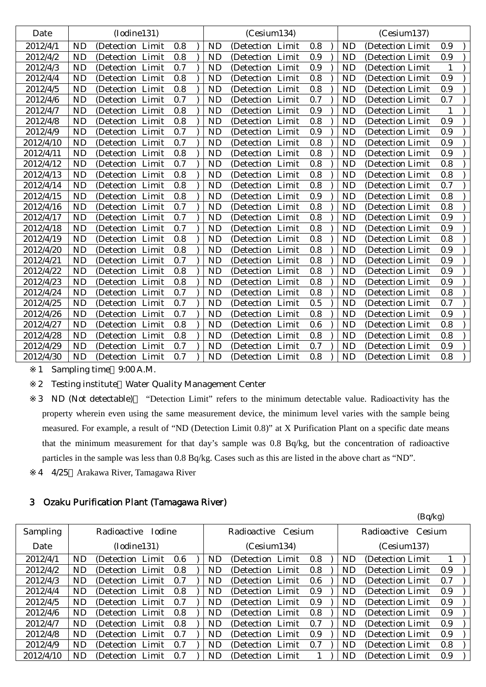| Date      |           | (Iodine131)          |     |           | (Cesium134)      |     |           | (Cesium137)       |     |  |
|-----------|-----------|----------------------|-----|-----------|------------------|-----|-----------|-------------------|-----|--|
| 2012/4/1  | <b>ND</b> | (Detection Limit)    | 0.8 | <b>ND</b> | (Detection Limit | 0.8 | <b>ND</b> | (Detection Limit) | 0.9 |  |
| 2012/4/2  | ND        | (Detection Limit)    | 0.8 | <b>ND</b> | (Detection Limit | 0.9 | ND        | (Detection Limit) | 0.9 |  |
| 2012/4/3  | <b>ND</b> | (Detection Limit     | 0.7 | <b>ND</b> | (Detection Limit | 0.9 | <b>ND</b> | (Detection Limit  | 1   |  |
| 2012/4/4  | <b>ND</b> | (Detection Limit     | 0.8 | <b>ND</b> | (Detection Limit | 0.8 | <b>ND</b> | (Detection Limit) | 0.9 |  |
| 2012/4/5  | ND        | (Detection<br>Limit  | 0.8 | <b>ND</b> | (Detection Limit | 0.8 | <b>ND</b> | (Detection Limit) | 0.9 |  |
| 2012/4/6  | <b>ND</b> | (Detection Limit     | 0.7 | <b>ND</b> | (Detection Limit | 0.7 | <b>ND</b> | (Detection Limit  | 0.7 |  |
| 2012/4/7  | <b>ND</b> | (Detection Limit     | 0.8 | <b>ND</b> | (Detection Limit | 0.9 | <b>ND</b> | (Detection Limit) | 1   |  |
| 2012/4/8  | <b>ND</b> | (Detection Limit)    | 0.8 | <b>ND</b> | (Detection Limit | 0.8 | <b>ND</b> | (Detection Limit  | 0.9 |  |
| 2012/4/9  | <b>ND</b> | (Detection Limit     | 0.7 | <b>ND</b> | (Detection Limit | 0.9 | <b>ND</b> | (Detection Limit  | 0.9 |  |
| 2012/4/10 | ND        | (Detection Limit     | 0.7 | <b>ND</b> | (Detection Limit | 0.8 | <b>ND</b> | (Detection Limit) | 0.9 |  |
| 2012/4/11 | <b>ND</b> | (Detection Limit     | 0.8 | <b>ND</b> | (Detection Limit | 0.8 | <b>ND</b> | (Detection Limit  | 0.9 |  |
| 2012/4/12 | <b>ND</b> | (Detection Limit)    | 0.7 | <b>ND</b> | (Detection Limit | 0.8 | <b>ND</b> | (Detection Limit) | 0.8 |  |
| 2012/4/13 | ND        | (Detection Limit     | 0.8 | <b>ND</b> | (Detection Limit | 0.8 | <b>ND</b> | (Detection Limit) | 0.8 |  |
| 2012/4/14 | <b>ND</b> | (Detection Limit     | 0.8 | <b>ND</b> | (Detection Limit | 0.8 | <b>ND</b> | (Detection Limit  | 0.7 |  |
| 2012/4/15 | <b>ND</b> | (Detection Limit)    | 0.8 | <b>ND</b> | (Detection Limit | 0.9 | <b>ND</b> | (Detection Limit) | 0.8 |  |
| 2012/4/16 | <b>ND</b> | (Detection Limit     | 0.7 | <b>ND</b> | (Detection Limit | 0.8 | <b>ND</b> | (Detection Limit) | 0.8 |  |
| 2012/4/17 | <b>ND</b> | (Detection Limit     | 0.7 | <b>ND</b> | (Detection Limit | 0.8 | <b>ND</b> | (Detection Limit  | 0.9 |  |
| 2012/4/18 | <b>ND</b> | (Detection Limit     | 0.7 | <b>ND</b> | (Detection Limit | 0.8 | <b>ND</b> | (Detection Limit  | 0.9 |  |
| 2012/4/19 | <b>ND</b> | (Detection Limit     | 0.8 | <b>ND</b> | (Detection Limit | 0.8 | <b>ND</b> | (Detection Limit  | 0.8 |  |
| 2012/4/20 | <b>ND</b> | (Detection Limit     | 0.8 | <b>ND</b> | (Detection Limit | 0.8 | <b>ND</b> | (Detection Limit  | 0.9 |  |
| 2012/4/21 | <b>ND</b> | (Detection Limit     | 0.7 | <b>ND</b> | (Detection Limit | 0.8 | <b>ND</b> | (Detection Limit  | 0.9 |  |
| 2012/4/22 | <b>ND</b> | Limit<br>(Detection) | 0.8 | <b>ND</b> | (Detection Limit | 0.8 | <b>ND</b> | (Detection Limit  | 0.9 |  |
| 2012/4/23 | <b>ND</b> | (Detection Limit     | 0.8 | <b>ND</b> | (Detection Limit | 0.8 | <b>ND</b> | (Detection Limit) | 0.9 |  |
| 2012/4/24 | <b>ND</b> | (Detection Limit     | 0.7 | <b>ND</b> | (Detection Limit | 0.8 | <b>ND</b> | (Detection Limit  | 0.8 |  |
| 2012/4/25 | <b>ND</b> | (Detection Limit)    | 0.7 | <b>ND</b> | (Detection Limit | 0.5 | <b>ND</b> | (Detection Limit  | 0.7 |  |
| 2012/4/26 | <b>ND</b> | (Detection Limit)    | 0.7 | <b>ND</b> | (Detection Limit | 0.8 | <b>ND</b> | (Detection Limit) | 0.9 |  |
| 2012/4/27 | <b>ND</b> | (Detection Limit     | 0.8 | <b>ND</b> | (Detection Limit | 0.6 | <b>ND</b> | (Detection Limit) | 0.8 |  |
| 2012/4/28 | <b>ND</b> | (Detection Limit     | 0.8 | <b>ND</b> | (Detection Limit | 0.8 | <b>ND</b> | (Detection Limit  | 0.8 |  |
| 2012/4/29 | <b>ND</b> | (Detection Limit)    | 0.7 | <b>ND</b> | (Detection Limit | 0.7 | <b>ND</b> | (Detection Limit) | 0.9 |  |
| 2012/4/30 | <b>ND</b> | (Detection Limit     | 0.7 | <b>ND</b> | (Detection Limit | 0.8 | <b>ND</b> | (Detection Limit) | 0.8 |  |
|           |           |                      |     |           |                  |     |           |                   |     |  |

1 Sampling time 9:00 A.M.

2 Testing institute Water Quality Management Center

3 ND (Not detectable) "Detection Limit" refers to the minimum detectable value. Radioactivity has the property wherein even using the same measurement device, the minimum level varies with the sample being measured. For example, a result of "ND (Detection Limit 0.8)" at X Purification Plant on a specific date means that the minimum measurement for that day's sample was 0.8 Bq/kg, but the concentration of radioactive particles in the sample was less than 0.8 Bq/kg. Cases such as this are listed in the above chart as "ND".

4 4/25 Arakawa River, Tamagawa River

# 3 Ozaku Purification Plant (Tamagawa River)

|           |     |                    |     |           |                       |     |     | (Bq/kg)               |     |  |
|-----------|-----|--------------------|-----|-----------|-----------------------|-----|-----|-----------------------|-----|--|
| Sampling  |     | Radioactive Iodine |     |           | Radioactive<br>Cesium |     |     | Radioactive<br>Cesium |     |  |
| Date      |     | (Iodine131)        |     |           | (Cesium134)           |     |     | (Cesium137)           |     |  |
| 2012/4/1  | ND  | (Detection Limit)  | 0.6 | <b>ND</b> | (Detection Limit)     | 0.8 | ND. | (Detection Limit)     |     |  |
| 2012/4/2  | ND  | (Detection Limit)  | 0.8 | ND.       | (Detection Limit)     | 0.8 | ND. | (Detection Limit)     | 0.9 |  |
| 2012/4/3  | ND  | (Detection Limit)  | 0.7 | <b>ND</b> | (Detection Limit)     | 0.6 | ND. | (Detection Limit)     | 0.7 |  |
| 2012/4/4  | ND. | (Detection Limit)  | 0.8 | ND        | (Detection Limit)     | 0.9 | ND. | (Detection Limit)     | 0.9 |  |
| 2012/4/5  | ND. | (Detection Limit)  | 0.7 | ND.       | (Detection Limit)     | 0.9 | ND. | (Detection Limit)     | 0.9 |  |
| 2012/4/6  | ND  | (Detection Limit)  | 0.8 | ND        | (Detection Limit)     | 0.8 | ND. | (Detection Limit)     | 0.9 |  |
| 2012/4/7  | ND. | (Detection Limit)  | 0.8 | ND        | (Detection Limit)     | 0.7 | ND. | (Detection Limit)     | 0.9 |  |
| 2012/4/8  | ND  | (Detection Limit)  | 0.7 | ND.       | (Detection Limit)     | 0.9 | ND. | (Detection Limit)     | 0.9 |  |
| 2012/4/9  | ND  | (Detection Limit)  | 0.7 | <b>ND</b> | (Detection Limit)     | 0.7 | ND  | (Detection Limit)     | 0.8 |  |
| 2012/4/10 | ND  | (Detection Limit)  | 0.7 | ND.       | (Detection Limit)     |     | ND. | (Detection Limit)     | 0.9 |  |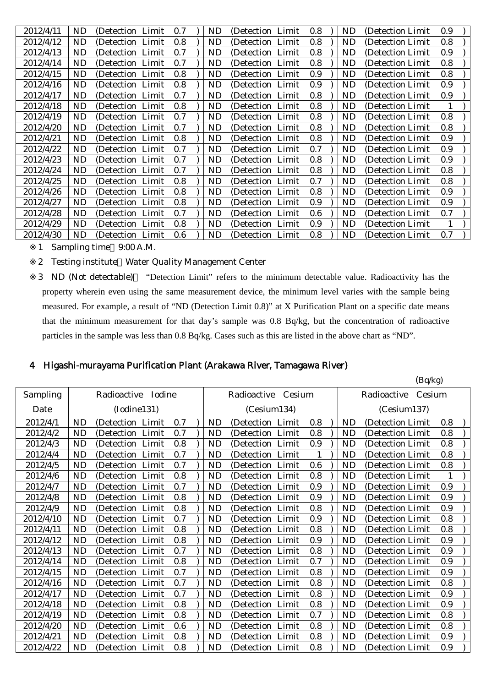| 2012/4/11<br>0.9<br>ND.<br>ND<br>0.8<br>0.7<br>ND<br>(Detection Limit)<br>(Detection Limit<br>(Detection Limit)<br>2012/4/12<br>0.8<br>0.8<br>0.8<br><b>ND</b><br>ND<br>ND.<br>(Detection Limit)<br>(Detection Limit<br>(Detection Limit<br>0.9<br>2012/4/13<br><b>ND</b><br>0.8<br>ND<br>ND<br>0.7<br>(Detection Limit)<br>(Detection Limit<br>(Detection Limit)<br>2012/4/14<br>0.8<br><b>ND</b><br>0.7<br>ND<br>0.8<br>ND<br>(Detection Limit)<br>(Detection Limit<br>(Detection Limit<br>2012/4/15<br>0.8<br>0.8<br><b>ND</b><br>ND<br>0.9<br>ND<br>(Detection Limit<br>(Detection Limit<br>(Detection Limit<br>2012/4/16<br>ND<br>0.8<br>ND<br>0.9<br>0.9<br>(Detection Limit<br>ND<br>(Detection Limit<br>(Detection Limit<br>2012/4/17<br>0.9<br>ND<br>ND<br>0.8<br>0.7<br>ND<br>(Detection Limit)<br>(Detection Limit)<br>(Detection Limit)<br>2012/4/18<br>0.8<br>0.8<br>ND.<br>ND<br>ND<br>(Detection Limit)<br>(Detection Limit<br>(Detection Limit<br>0.8<br>2012/4/19<br>ND<br><b>ND</b><br>0.8<br>ND<br>0.7<br>(Detection Limit)<br>(Detection Limit<br>(Detection Limit<br>2012/4/20<br>ND<br>ND<br>0.8<br>ND<br>0.8<br>(Detection Limit)<br>(Detection Limit<br>0.7<br>(Detection Limit)<br>0.8<br>0.8<br>0.9<br>2012/4/21<br><b>ND</b><br>ND<br>ND<br>(Detection Limit<br>(Detection Limit)<br>(Detection Limit<br>2012/4/22<br><b>ND</b><br>ND<br>0.7<br>ND<br>0.9<br>0.7<br>(Detection Limit)<br>(Detection<br>Limit<br>(Detection Limit<br>2012/4/23<br><b>ND</b><br>0.9<br>0.7<br>ND<br>0.8<br>ND<br>(Detection Limit<br>(Detection Limit)<br>(Detection Limit)<br>0.8<br>2012/4/24<br>0.8<br>ND.<br>0.7<br>ND<br>ND<br>(Detection Limit)<br>(Detection Limit<br>(Detection Limit)<br>2012/4/25<br>0.8<br>0.8<br>ND.<br><b>ND</b><br>0.7<br>ND<br>(Detection Limit)<br>(Detection Limit)<br>(Detection Limit<br>0.8<br>0.9<br>2012/4/26<br>ND<br>0.8<br><b>ND</b><br>ND<br>(Detection Limit)<br>(Detection Limit)<br>(Detection Limit)<br>ND<br>0.8<br>0.9<br>0.9<br>2012/4/27<br>ND<br>ND<br>(Detection Limit<br>(Detection Limit)<br>(Detection Limit)<br>0.7<br>2012/4/28<br><b>ND</b><br>0.7<br>ND<br>0.6<br>ND<br>(Detection Limit)<br>(Detection Limit<br>(Detection Limit<br>2012/4/29<br><b>ND</b><br>(Detection Limit<br>0.8<br>ND<br>0.9<br>ND<br>(Detection Limit)<br>(Detection Limit)<br>2012/4/30<br>ND<br>$0.6\,$<br><b>ND</b><br>0.8<br>0.7<br>ND<br>(Detection Limit)<br>(Detection Limit)<br>(Detection Limit) |  |  |  |  |  |  |  |
|-------------------------------------------------------------------------------------------------------------------------------------------------------------------------------------------------------------------------------------------------------------------------------------------------------------------------------------------------------------------------------------------------------------------------------------------------------------------------------------------------------------------------------------------------------------------------------------------------------------------------------------------------------------------------------------------------------------------------------------------------------------------------------------------------------------------------------------------------------------------------------------------------------------------------------------------------------------------------------------------------------------------------------------------------------------------------------------------------------------------------------------------------------------------------------------------------------------------------------------------------------------------------------------------------------------------------------------------------------------------------------------------------------------------------------------------------------------------------------------------------------------------------------------------------------------------------------------------------------------------------------------------------------------------------------------------------------------------------------------------------------------------------------------------------------------------------------------------------------------------------------------------------------------------------------------------------------------------------------------------------------------------------------------------------------------------------------------------------------------------------------------------------------------------------------------------------------------------------------------------------------------------------------------------------------------------------------------------------------------------------------------------------------------------------------------------------------|--|--|--|--|--|--|--|
|                                                                                                                                                                                                                                                                                                                                                                                                                                                                                                                                                                                                                                                                                                                                                                                                                                                                                                                                                                                                                                                                                                                                                                                                                                                                                                                                                                                                                                                                                                                                                                                                                                                                                                                                                                                                                                                                                                                                                                                                                                                                                                                                                                                                                                                                                                                                                                                                                                                       |  |  |  |  |  |  |  |
|                                                                                                                                                                                                                                                                                                                                                                                                                                                                                                                                                                                                                                                                                                                                                                                                                                                                                                                                                                                                                                                                                                                                                                                                                                                                                                                                                                                                                                                                                                                                                                                                                                                                                                                                                                                                                                                                                                                                                                                                                                                                                                                                                                                                                                                                                                                                                                                                                                                       |  |  |  |  |  |  |  |
|                                                                                                                                                                                                                                                                                                                                                                                                                                                                                                                                                                                                                                                                                                                                                                                                                                                                                                                                                                                                                                                                                                                                                                                                                                                                                                                                                                                                                                                                                                                                                                                                                                                                                                                                                                                                                                                                                                                                                                                                                                                                                                                                                                                                                                                                                                                                                                                                                                                       |  |  |  |  |  |  |  |
|                                                                                                                                                                                                                                                                                                                                                                                                                                                                                                                                                                                                                                                                                                                                                                                                                                                                                                                                                                                                                                                                                                                                                                                                                                                                                                                                                                                                                                                                                                                                                                                                                                                                                                                                                                                                                                                                                                                                                                                                                                                                                                                                                                                                                                                                                                                                                                                                                                                       |  |  |  |  |  |  |  |
|                                                                                                                                                                                                                                                                                                                                                                                                                                                                                                                                                                                                                                                                                                                                                                                                                                                                                                                                                                                                                                                                                                                                                                                                                                                                                                                                                                                                                                                                                                                                                                                                                                                                                                                                                                                                                                                                                                                                                                                                                                                                                                                                                                                                                                                                                                                                                                                                                                                       |  |  |  |  |  |  |  |
|                                                                                                                                                                                                                                                                                                                                                                                                                                                                                                                                                                                                                                                                                                                                                                                                                                                                                                                                                                                                                                                                                                                                                                                                                                                                                                                                                                                                                                                                                                                                                                                                                                                                                                                                                                                                                                                                                                                                                                                                                                                                                                                                                                                                                                                                                                                                                                                                                                                       |  |  |  |  |  |  |  |
|                                                                                                                                                                                                                                                                                                                                                                                                                                                                                                                                                                                                                                                                                                                                                                                                                                                                                                                                                                                                                                                                                                                                                                                                                                                                                                                                                                                                                                                                                                                                                                                                                                                                                                                                                                                                                                                                                                                                                                                                                                                                                                                                                                                                                                                                                                                                                                                                                                                       |  |  |  |  |  |  |  |
|                                                                                                                                                                                                                                                                                                                                                                                                                                                                                                                                                                                                                                                                                                                                                                                                                                                                                                                                                                                                                                                                                                                                                                                                                                                                                                                                                                                                                                                                                                                                                                                                                                                                                                                                                                                                                                                                                                                                                                                                                                                                                                                                                                                                                                                                                                                                                                                                                                                       |  |  |  |  |  |  |  |
|                                                                                                                                                                                                                                                                                                                                                                                                                                                                                                                                                                                                                                                                                                                                                                                                                                                                                                                                                                                                                                                                                                                                                                                                                                                                                                                                                                                                                                                                                                                                                                                                                                                                                                                                                                                                                                                                                                                                                                                                                                                                                                                                                                                                                                                                                                                                                                                                                                                       |  |  |  |  |  |  |  |
|                                                                                                                                                                                                                                                                                                                                                                                                                                                                                                                                                                                                                                                                                                                                                                                                                                                                                                                                                                                                                                                                                                                                                                                                                                                                                                                                                                                                                                                                                                                                                                                                                                                                                                                                                                                                                                                                                                                                                                                                                                                                                                                                                                                                                                                                                                                                                                                                                                                       |  |  |  |  |  |  |  |
|                                                                                                                                                                                                                                                                                                                                                                                                                                                                                                                                                                                                                                                                                                                                                                                                                                                                                                                                                                                                                                                                                                                                                                                                                                                                                                                                                                                                                                                                                                                                                                                                                                                                                                                                                                                                                                                                                                                                                                                                                                                                                                                                                                                                                                                                                                                                                                                                                                                       |  |  |  |  |  |  |  |
|                                                                                                                                                                                                                                                                                                                                                                                                                                                                                                                                                                                                                                                                                                                                                                                                                                                                                                                                                                                                                                                                                                                                                                                                                                                                                                                                                                                                                                                                                                                                                                                                                                                                                                                                                                                                                                                                                                                                                                                                                                                                                                                                                                                                                                                                                                                                                                                                                                                       |  |  |  |  |  |  |  |
|                                                                                                                                                                                                                                                                                                                                                                                                                                                                                                                                                                                                                                                                                                                                                                                                                                                                                                                                                                                                                                                                                                                                                                                                                                                                                                                                                                                                                                                                                                                                                                                                                                                                                                                                                                                                                                                                                                                                                                                                                                                                                                                                                                                                                                                                                                                                                                                                                                                       |  |  |  |  |  |  |  |
|                                                                                                                                                                                                                                                                                                                                                                                                                                                                                                                                                                                                                                                                                                                                                                                                                                                                                                                                                                                                                                                                                                                                                                                                                                                                                                                                                                                                                                                                                                                                                                                                                                                                                                                                                                                                                                                                                                                                                                                                                                                                                                                                                                                                                                                                                                                                                                                                                                                       |  |  |  |  |  |  |  |
|                                                                                                                                                                                                                                                                                                                                                                                                                                                                                                                                                                                                                                                                                                                                                                                                                                                                                                                                                                                                                                                                                                                                                                                                                                                                                                                                                                                                                                                                                                                                                                                                                                                                                                                                                                                                                                                                                                                                                                                                                                                                                                                                                                                                                                                                                                                                                                                                                                                       |  |  |  |  |  |  |  |
|                                                                                                                                                                                                                                                                                                                                                                                                                                                                                                                                                                                                                                                                                                                                                                                                                                                                                                                                                                                                                                                                                                                                                                                                                                                                                                                                                                                                                                                                                                                                                                                                                                                                                                                                                                                                                                                                                                                                                                                                                                                                                                                                                                                                                                                                                                                                                                                                                                                       |  |  |  |  |  |  |  |
|                                                                                                                                                                                                                                                                                                                                                                                                                                                                                                                                                                                                                                                                                                                                                                                                                                                                                                                                                                                                                                                                                                                                                                                                                                                                                                                                                                                                                                                                                                                                                                                                                                                                                                                                                                                                                                                                                                                                                                                                                                                                                                                                                                                                                                                                                                                                                                                                                                                       |  |  |  |  |  |  |  |
|                                                                                                                                                                                                                                                                                                                                                                                                                                                                                                                                                                                                                                                                                                                                                                                                                                                                                                                                                                                                                                                                                                                                                                                                                                                                                                                                                                                                                                                                                                                                                                                                                                                                                                                                                                                                                                                                                                                                                                                                                                                                                                                                                                                                                                                                                                                                                                                                                                                       |  |  |  |  |  |  |  |
|                                                                                                                                                                                                                                                                                                                                                                                                                                                                                                                                                                                                                                                                                                                                                                                                                                                                                                                                                                                                                                                                                                                                                                                                                                                                                                                                                                                                                                                                                                                                                                                                                                                                                                                                                                                                                                                                                                                                                                                                                                                                                                                                                                                                                                                                                                                                                                                                                                                       |  |  |  |  |  |  |  |
|                                                                                                                                                                                                                                                                                                                                                                                                                                                                                                                                                                                                                                                                                                                                                                                                                                                                                                                                                                                                                                                                                                                                                                                                                                                                                                                                                                                                                                                                                                                                                                                                                                                                                                                                                                                                                                                                                                                                                                                                                                                                                                                                                                                                                                                                                                                                                                                                                                                       |  |  |  |  |  |  |  |

1 Sampling time 9:00 A.M.

2 Testing institute Water Quality Management Center

3 ND (Not detectable) "Detection Limit" refers to the minimum detectable value. Radioactivity has the property wherein even using the same measurement device, the minimum level varies with the sample being measured. For example, a result of "ND (Detection Limit 0.8)" at X Purification Plant on a specific date means that the minimum measurement for that day's sample was 0.8 Bq/kg, but the concentration of radioactive particles in the sample was less than 0.8 Bq/kg. Cases such as this are listed in the above chart as "ND".

# 4 Higashi-murayama Purification Plant (Arakawa River, Tamagawa River)

|           |           |                    |       |     |           |                    |       |     |           | (Bq/kg)               |     |  |
|-----------|-----------|--------------------|-------|-----|-----------|--------------------|-------|-----|-----------|-----------------------|-----|--|
| Sampling  |           | Radioactive Iodine |       |     |           | Radioactive Cesium |       |     |           | Radioactive<br>Cesium |     |  |
| Date      |           | (Iodine131)        |       |     |           | (Cesium134)        |       |     |           | (Cesium137)           |     |  |
| 2012/4/1  | <b>ND</b> | (Detection Limit   |       | 0.7 | <b>ND</b> | (Detection Limit   |       | 0.8 | <b>ND</b> | (Detection Limit      | 0.8 |  |
| 2012/4/2  | <b>ND</b> | (Detection)        | Limit | 0.7 | <b>ND</b> | (Detection Limit   |       | 0.8 | <b>ND</b> | (Detection Limit      | 0.8 |  |
| 2012/4/3  | <b>ND</b> | (Detection Limit   |       | 0.8 | <b>ND</b> | (Detection Limit   |       | 0.9 | <b>ND</b> | (Detection Limit      | 0.8 |  |
| 2012/4/4  | <b>ND</b> | (Detection Limit   |       | 0.7 | <b>ND</b> | (Detection Limit   |       | 1   | <b>ND</b> | (Detection Limit      | 0.8 |  |
| 2012/4/5  | ND        | (Detection Limit   |       | 0.7 | <b>ND</b> | (Detection Limit   |       | 0.6 | <b>ND</b> | (Detection Limit      | 0.8 |  |
| 2012/4/6  | <b>ND</b> | (Detection Limit   |       | 0.8 | <b>ND</b> | (Detection Limit   |       | 0.8 | <b>ND</b> | (Detection Limit      | 1   |  |
| 2012/4/7  | ND        | (Detection Limit   |       | 0.7 | <b>ND</b> | (Detection Limit)  |       | 0.9 | <b>ND</b> | (Detection Limit      | 0.9 |  |
| 2012/4/8  | ND        | (Detection Limit   |       | 0.8 | ND        | (Detection Limit   |       | 0.9 | <b>ND</b> | (Detection Limit      | 0.9 |  |
| 2012/4/9  | ND        | (Detection Limit   |       | 0.8 | ND        | (Detection Limit   |       | 0.8 | ND        | (Detection Limit      | 0.9 |  |
| 2012/4/10 | <b>ND</b> | (Detection Limit   |       | 0.7 | <b>ND</b> | (Detection Limit   |       | 0.9 | <b>ND</b> | (Detection Limit      | 0.8 |  |
| 2012/4/11 | <b>ND</b> | (Detection Limit   |       | 0.8 | <b>ND</b> | (Detection Limit   |       | 0.8 | <b>ND</b> | (Detection Limit      | 0.8 |  |
| 2012/4/12 | <b>ND</b> | (Detection Limit   |       | 0.8 | <b>ND</b> | (Detection Limit   |       | 0.9 | <b>ND</b> | (Detection Limit      | 0.9 |  |
| 2012/4/13 | ND        | (Detection Limit)  |       | 0.7 | <b>ND</b> | (Detection Limit)  |       | 0.8 | <b>ND</b> | (Detection Limit      | 0.9 |  |
| 2012/4/14 | <b>ND</b> | (Detection Limit   |       | 0.8 | <b>ND</b> | (Detection Limit   |       | 0.7 | <b>ND</b> | (Detection Limit      | 0.9 |  |
| 2012/4/15 | ND        | (Detection Limit   |       | 0.7 | ND        | (Detection Limit)  |       | 0.8 | <b>ND</b> | (Detection Limit      | 0.9 |  |
| 2012/4/16 | ND        | (Detection Limit   |       | 0.7 | <b>ND</b> | (Detection Limit   |       | 0.8 | ND        | (Detection Limit      | 0.8 |  |
| 2012/4/17 | ND        | (Detection Limit)  |       | 0.7 | ND        | (Detection Limit   |       | 0.8 | <b>ND</b> | (Detection Limit      | 0.9 |  |
| 2012/4/18 | <b>ND</b> | (Detection Limit   |       | 0.8 | <b>ND</b> | (Detection Limit   |       | 0.8 | <b>ND</b> | (Detection Limit      | 0.9 |  |
| 2012/4/19 | <b>ND</b> | (Detection)        | Limit | 0.8 | <b>ND</b> | (Detection Limit   |       | 0.7 | <b>ND</b> | (Detection Limit      | 0.8 |  |
| 2012/4/20 | <b>ND</b> | (Detection Limit   |       | 0.6 | <b>ND</b> | (Detection Limit   |       | 0.8 | <b>ND</b> | (Detection Limit      | 0.8 |  |
| 2012/4/21 | ND        | (Detection)        | Limit | 0.8 | <b>ND</b> | (Detection)        | Limit | 0.8 | <b>ND</b> | (Detection Limit      | 0.9 |  |
| 2012/4/22 | <b>ND</b> | (Detection Limit)  |       | 0.8 | <b>ND</b> | (Detection Limit   |       | 0.8 | <b>ND</b> | (Detection Limit      | 0.9 |  |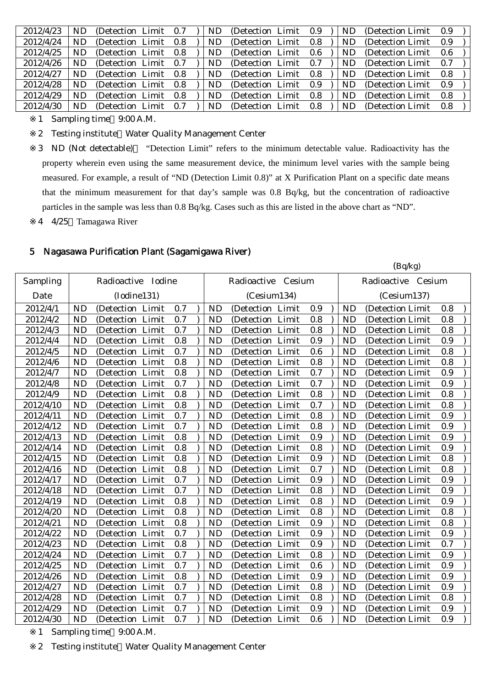| 2012/4/23 | ND | (Detection Limit) | 0.7 | ND. | (Detection Limit) | 0.9 | ND.       | (Detection Limit) | 0.9 |  |
|-----------|----|-------------------|-----|-----|-------------------|-----|-----------|-------------------|-----|--|
| 2012/4/24 | ND | (Detection Limit) | 0.8 | ND. | (Detection Limit) | 0.8 | ND.       | (Detection Limit) | 0.9 |  |
| 2012/4/25 | ND | (Detection Limit) | 0.8 | ND  | (Detection Limit) | 0.6 | ND        | (Detection Limit) | 0.6 |  |
| 2012/4/26 | ND | (Detection Limit) | 0.7 | ND. | (Detection Limit) | 0.7 | ND.       | (Detection Limit) | 0.7 |  |
| 2012/4/27 | ND | (Detection Limit) | 0.8 | ND  | (Detection Limit) | 0.8 | <b>ND</b> | (Detection Limit) | 0.8 |  |
| 2012/4/28 | ND | (Detection Limit) | 0.8 | ND. | (Detection Limit) | 0.9 | ND.       | (Detection Limit) | 0.9 |  |
| 2012/4/29 | ND | (Detection Limit) | 0.8 | ND. | (Detection Limit) | 0.8 | ND.       | (Detection Limit) | 0.8 |  |
| 2012/4/30 | ND | (Detection Limit) | 0.7 | ND  | (Detection Limit) | 0.8 | ND.       | (Detection Limit) | 0.8 |  |
|           |    |                   |     |     |                   |     |           |                   |     |  |

1 Sampling time 9:00 A.M.

2 Testing institute Water Quality Management Center

3 ND (Not detectable) "Detection Limit" refers to the minimum detectable value. Radioactivity has the property wherein even using the same measurement device, the minimum level varies with the sample being measured. For example, a result of "ND (Detection Limit 0.8)" at X Purification Plant on a specific date means that the minimum measurement for that day's sample was 0.8 Bq/kg, but the concentration of radioactive particles in the sample was less than 0.8 Bq/kg. Cases such as this are listed in the above chart as "ND".

4 4/25 Tamagawa River

#### 5 Nagasawa Purification Plant (Sagamigawa River)

|           |           |                      |     |           |                    |         |           | (Bq/kg)            |     |  |
|-----------|-----------|----------------------|-----|-----------|--------------------|---------|-----------|--------------------|-----|--|
| Sampling  |           | Radioactive Iodine   |     |           | Radioactive Cesium |         |           | Radioactive Cesium |     |  |
| Date      |           | (Iodine131)          |     |           | (Cesium134)        |         |           | (Cesium137)        |     |  |
| 2012/4/1  | <b>ND</b> | (Detection Limit     | 0.7 | <b>ND</b> | (Detection Limit   | 0.9     | <b>ND</b> | (Detection Limit   | 0.8 |  |
| 2012/4/2  | <b>ND</b> | (Detection Limit     | 0.7 | <b>ND</b> | (Detection Limit   | 0.8     | <b>ND</b> | (Detection Limit   | 0.8 |  |
| 2012/4/3  | <b>ND</b> | (Detection Limit     | 0.7 | <b>ND</b> | (Detection Limit   | 0.8     | <b>ND</b> | (Detection Limit   | 0.8 |  |
| 2012/4/4  | <b>ND</b> | (Detection Limit     | 0.8 | <b>ND</b> | (Detection Limit   | 0.9     | <b>ND</b> | (Detection Limit   | 0.9 |  |
| 2012/4/5  | <b>ND</b> | (Detection Limit     | 0.7 | <b>ND</b> | (Detection Limit   | 0.6     | <b>ND</b> | (Detection Limit   | 0.8 |  |
| 2012/4/6  | <b>ND</b> | Limit<br>(Detection) | 0.8 | <b>ND</b> | (Detection Limit   | 0.8     | <b>ND</b> | (Detection Limit   | 0.8 |  |
| 2012/4/7  | <b>ND</b> | (Detection Limit     | 0.8 | <b>ND</b> | (Detection Limit   | 0.7     | <b>ND</b> | (Detection Limit   | 0.9 |  |
| 2012/4/8  | <b>ND</b> | (Detection Limit     | 0.7 | <b>ND</b> | (Detection Limit   | 0.7     | <b>ND</b> | (Detection Limit   | 0.9 |  |
| 2012/4/9  | <b>ND</b> | (Detection Limit     | 0.8 | <b>ND</b> | (Detection Limit   | 0.8     | <b>ND</b> | (Detection Limit)  | 0.8 |  |
| 2012/4/10 | <b>ND</b> | (Detection Limit     | 0.8 | <b>ND</b> | (Detection Limit   | 0.7     | <b>ND</b> | (Detection Limit   | 0.8 |  |
| 2012/4/11 | <b>ND</b> | (Detection Limit     | 0.7 | <b>ND</b> | (Detection Limit   | $0.8\,$ | <b>ND</b> | (Detection Limit   | 0.9 |  |
| 2012/4/12 | <b>ND</b> | (Detection Limit     | 0.7 | <b>ND</b> | (Detection Limit   | 0.8     | <b>ND</b> | (Detection Limit   | 0.9 |  |
| 2012/4/13 | <b>ND</b> | (Detection Limit     | 0.8 | <b>ND</b> | (Detection Limit   | 0.9     | <b>ND</b> | (Detection Limit   | 0.9 |  |
| 2012/4/14 | <b>ND</b> | (Detection Limit     | 0.8 | <b>ND</b> | (Detection Limit   | 0.8     | <b>ND</b> | (Detection Limit   | 0.9 |  |
| 2012/4/15 | <b>ND</b> | (Detection Limit     | 0.8 | <b>ND</b> | (Detection Limit   | 0.9     | <b>ND</b> | (Detection Limit   | 0.8 |  |
| 2012/4/16 | <b>ND</b> | (Detection Limit     | 0.8 | <b>ND</b> | (Detection Limit   | 0.7     | <b>ND</b> | (Detection Limit   | 0.8 |  |
| 2012/4/17 | <b>ND</b> | (Detection Limit     | 0.7 | <b>ND</b> | (Detection Limit   | 0.9     | <b>ND</b> | (Detection Limit   | 0.9 |  |
| 2012/4/18 | <b>ND</b> | (Detection Limit     | 0.7 | <b>ND</b> | (Detection Limit   | 0.8     | <b>ND</b> | (Detection Limit)  | 0.9 |  |
| 2012/4/19 | <b>ND</b> | (Detection Limit     | 0.8 | <b>ND</b> | (Detection Limit   | 0.8     | <b>ND</b> | (Detection Limit   | 0.9 |  |
| 2012/4/20 | <b>ND</b> | Limit<br>(Detection) | 0.8 | <b>ND</b> | (Detection Limit   | 0.8     | <b>ND</b> | (Detection Limit   | 0.8 |  |
| 2012/4/21 | <b>ND</b> | (Detection Limit     | 0.8 | <b>ND</b> | (Detection Limit   | 0.9     | <b>ND</b> | (Detection Limit   | 0.8 |  |
| 2012/4/22 | <b>ND</b> | (Detection Limit     | 0.7 | <b>ND</b> | (Detection Limit   | 0.9     | <b>ND</b> | (Detection Limit   | 0.9 |  |
| 2012/4/23 | <b>ND</b> | (Detection Limit     | 0.8 | <b>ND</b> | (Detection Limit   | 0.9     | <b>ND</b> | (Detection Limit   | 0.7 |  |
| 2012/4/24 | <b>ND</b> | (Detection<br>Limit  | 0.7 | <b>ND</b> | (Detection Limit   | 0.8     | <b>ND</b> | (Detection Limit   | 0.9 |  |
| 2012/4/25 | <b>ND</b> | (Detection Limit     | 0.7 | <b>ND</b> | (Detection Limit   | 0.6     | <b>ND</b> | (Detection Limit   | 0.9 |  |
| 2012/4/26 | <b>ND</b> | (Detection Limit     | 0.8 | <b>ND</b> | (Detection Limit   | 0.9     | <b>ND</b> | (Detection Limit   | 0.9 |  |
| 2012/4/27 | <b>ND</b> | Limit<br>(Detection) | 0.7 | <b>ND</b> | (Detection Limit   | 0.8     | <b>ND</b> | (Detection Limit   | 0.9 |  |
| 2012/4/28 | <b>ND</b> | (Detection Limit     | 0.7 | <b>ND</b> | (Detection Limit   | 0.8     | <b>ND</b> | (Detection Limit)  | 0.8 |  |
| 2012/4/29 | <b>ND</b> | (Detection Limit     | 0.7 | <b>ND</b> | (Detection Limit   | 0.9     | <b>ND</b> | (Detection Limit   | 0.9 |  |
| 2012/4/30 | <b>ND</b> | (Detection Limit     | 0.7 | <b>ND</b> | (Detection Limit   | 0.6     | <b>ND</b> | (Detection Limit   | 0.9 |  |

1 Sampling time 9:00 A.M.

2 Testing institute Water Quality Management Center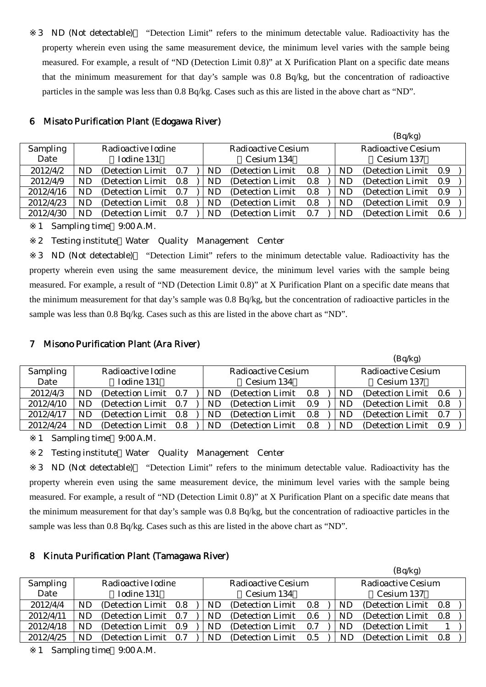3 ND (Not detectable) "Detection Limit" refers to the minimum detectable value. Radioactivity has the property wherein even using the same measurement device, the minimum level varies with the sample being measured. For example, a result of "ND (Detection Limit 0.8)" at X Purification Plant on a specific date means that the minimum measurement for that day's sample was 0.8 Bq/kg, but the concentration of radioactive particles in the sample was less than 0.8 Bq/kg. Cases such as this are listed in the above chart as "ND".

|                 |    |                       |       |    |                    |     |    | $(Dq \nvert \nvert R)$    |     |
|-----------------|----|-----------------------|-------|----|--------------------|-----|----|---------------------------|-----|
| <b>Sampling</b> |    | Radioactive Iodine    |       |    | Radioactive Cesium |     |    | <b>Radioactive Cesium</b> |     |
| Date            |    | Iodine 131            |       |    | Cesium 134         |     |    | Cesium 137                |     |
| 2012/4/2        | ND | (Detection Limit 0.7) |       | ND | (Detection Limit)  | 0.8 | ND | (Detection Limit 0.9)     |     |
| 2012/4/9        | ND | (Detection Limit 0.8) |       | ND | (Detection Limit)  | 0.8 | ND | (Detection Limit 0.9)     |     |
| 2012/4/16       | ND | (Detection Limit)     | 0.7   | ND | (Detection Limit)  | 0.8 | ND | (Detection Limit)         | 0.9 |
| 2012/4/23       | ND | (Detection Limit)     | - 0.8 | ND | (Detection Limit)  | 0.8 | ND | (Detection Limit)         | 0.9 |
| 2012/4/30       | ND | (Detection Limit)     | 0.7   | ND | (Detection Limit)  | 0.7 | ND | (Detection Limit 0.6)     |     |
|                 |    |                       |       |    |                    |     |    |                           |     |

 $(D - A - A)$ 

#### 6 Misato Purification Plant (Edogawa River)

1 Sampling time 9:00 A.M.

2 Testing institute Water Quality Management Center

3 ND (Not detectable) "Detection Limit" refers to the minimum detectable value. Radioactivity has the property wherein even using the same measurement device, the minimum level varies with the sample being measured. For example, a result of "ND (Detection Limit 0.8)" at X Purification Plant on a specific date means that the minimum measurement for that day's sample was 0.8 Bq/kg, but the concentration of radioactive particles in the sample was less than 0.8 Bq/kg. Cases such as this are listed in the above chart as "ND".

# 7 Misono Purification Plant (Ara River)

|                 |    |                       |     |    |                    |     |    | (Bq/kg)            |     |
|-----------------|----|-----------------------|-----|----|--------------------|-----|----|--------------------|-----|
| <b>Sampling</b> |    | Radioactive Iodine    |     |    | Radioactive Cesium |     |    | Radioactive Cesium |     |
| Date            |    | Iodine 131            |     |    | Cesium 134         |     |    | Cesium 137         |     |
| 2012/4/3        | ND | (Detection Limit 0.7) |     | ND | (Detection Limit)  | 0.8 | ND | (Detection Limit)  | 0.6 |
| 2012/4/10       | ND | (Detection Limit 0.7) |     | ND | (Detection Limit)  | 0.9 | ND | (Detection Limit)  | 0.8 |
| 2012/4/17       | ND | (Detection Limit 0.8) |     | ND | (Detection Limit)  | 0.8 | ND | (Detection Limit)  | 0.7 |
| 2012/4/24       | ND | (Detection Limit)     | 0.8 | ND | (Detection Limit)  | 0.8 | ND | (Detection Limit)  | 0.9 |

1 Sampling time 9:00 A.M.

2 Testing institute Water Quality Management Center

3 ND (Not detectable) "Detection Limit" refers to the minimum detectable value. Radioactivity has the property wherein even using the same measurement device, the minimum level varies with the sample being measured. For example, a result of "ND (Detection Limit 0.8)" at X Purification Plant on a specific date means that the minimum measurement for that day's sample was 0.8 Bq/kg, but the concentration of radioactive particles in the sample was less than 0.8 Bq/kg. Cases such as this are listed in the above chart as "ND".

# 8 Kinuta Purification Plant (Tamagawa River)

|                 |    |                       |     |           |                    |     |    | (Bq/kg)            |     |  |
|-----------------|----|-----------------------|-----|-----------|--------------------|-----|----|--------------------|-----|--|
| <b>Sampling</b> |    | Radioactive Iodine    |     |           | Radioactive Cesium |     |    | Radioactive Cesium |     |  |
| Date            |    | Iodine 131            |     |           | Cesium 134         |     |    | Cesium 137         |     |  |
| 2012/4/4        | ND | (Detection Limit 0.8) |     | <b>ND</b> | (Detection Limit)  | 0.8 | ND | (Detection Limit)  | 0.8 |  |
| 2012/4/11       | ND | (Detection Limit 0.7) |     | ND        | (Detection Limit)  | 0.6 | ND | (Detection Limit)  | 0.8 |  |
| 2012/4/18       | ND | (Detection Limit 0.9) |     | ND        | (Detection Limit)  | 0.7 | ND | (Detection Limit)  |     |  |
| 2012/4/25       | ND | (Detection Limit)     | 0.7 | ND        | (Detection Limit)  | 0.5 | ND | (Detection Limit)  | 0.8 |  |

1 Sampling time 9:00 A.M.